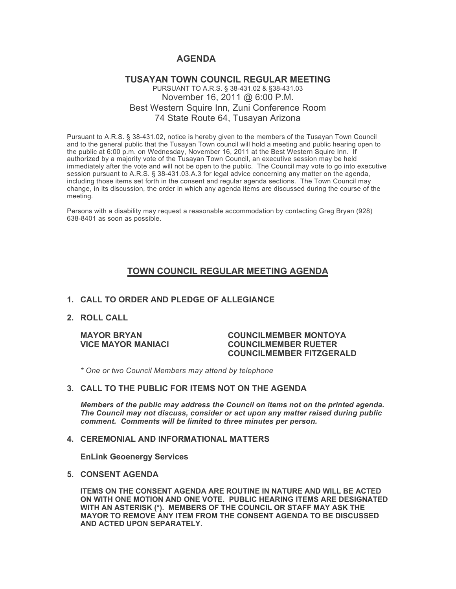# **AGENDA**

### **TUSAYAN TOWN COUNCIL REGULAR MEETING** PURSUANT TO A.R.S. § 38-431.02 & §38-431.03 November 16, 2011 @ 6:00 P.M. Best Western Squire Inn, Zuni Conference Room 74 State Route 64, Tusayan Arizona

Pursuant to A.R.S. § 38-431.02, notice is hereby given to the members of the Tusayan Town Council and to the general public that the Tusayan Town council will hold a meeting and public hearing open to the public at 6:00 p.m. on Wednesday, November 16, 2011 at the Best Western Squire Inn. If authorized by a majority vote of the Tusayan Town Council, an executive session may be held immediately after the vote and will not be open to the public. The Council may vote to go into executive session pursuant to A.R.S. § 38-431.03.A.3 for legal advice concerning any matter on the agenda, including those items set forth in the consent and regular agenda sections. The Town Council may change, in its discussion, the order in which any agenda items are discussed during the course of the meeting.

Persons with a disability may request a reasonable accommodation by contacting Greg Bryan (928) 638-8401 as soon as possible.

## **TOWN COUNCIL REGULAR MEETING AGENDA**

### **1. CALL TO ORDER AND PLEDGE OF ALLEGIANCE**

**2. ROLL CALL**

#### **MAYOR BRYAN COUNCILMEMBER MONTOYA VICE MAYOR MANIACI COUNCILMEMBER RUETER COUNCILMEMBER FITZGERALD**

*\* One or two Council Members may attend by telephone*

#### **3. CALL TO THE PUBLIC FOR ITEMS NOT ON THE AGENDA**

*Members of the public may address the Council* **o***n items not on the printed agenda. The Council may not discuss, consider or act upon any matter raised during public comment. Comments will be limited to three minutes per person.*

#### **4. CEREMONIAL AND INFORMATIONAL MATTERS**

**EnLink Geoenergy Services**

### **5. CONSENT AGENDA**

**ITEMS ON THE CONSENT AGENDA ARE ROUTINE IN NATURE AND WILL BE ACTED ON WITH ONE MOTION AND ONE VOTE. PUBLIC HEARING ITEMS ARE DESIGNATED WITH AN ASTERISK (\*). MEMBERS OF THE COUNCIL OR STAFF MAY ASK THE MAYOR TO REMOVE ANY ITEM FROM THE CONSENT AGENDA TO BE DISCUSSED AND ACTED UPON SEPARATELY.**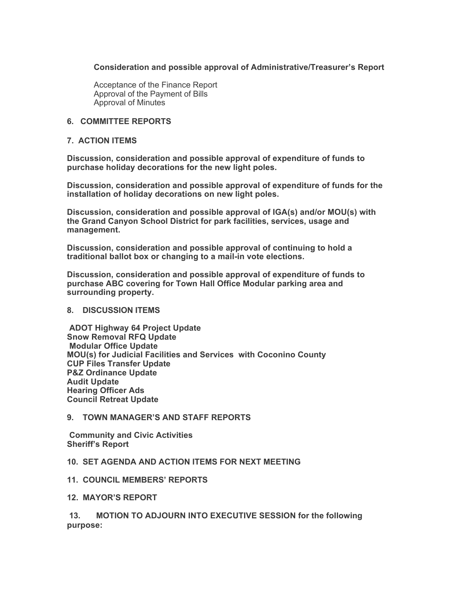### **Consideration and possible approval of Administrative/Treasurer's Report**

Acceptance of the Finance Report Approval of the Payment of Bills Approval of Minutes

### **6. COMMITTEE REPORTS**

### **7. ACTION ITEMS**

**Discussion, consideration and possible approval of expenditure of funds to purchase holiday decorations for the new light poles.**

**Discussion, consideration and possible approval of expenditure of funds for the installation of holiday decorations on new light poles.**

**Discussion, consideration and possible approval of IGA(s) and/or MOU(s) with the Grand Canyon School District for park facilities, services, usage and management.** 

**Discussion, consideration and possible approval of continuing to hold a traditional ballot box or changing to a mail-in vote elections.**

**Discussion, consideration and possible approval of expenditure of funds to purchase ABC covering for Town Hall Office Modular parking area and surrounding property.**

#### **8. DISCUSSION ITEMS**

 **ADOT Highway 64 Project Update Snow Removal RFQ Update Modular Office Update MOU(s) for Judicial Facilities and Services with Coconino County CUP Files Transfer Update P&Z Ordinance Update Audit Update Hearing Officer Ads Council Retreat Update** 

## **9. TOWN MANAGER'S AND STAFF REPORTS**

 **Community and Civic Activities Sheriff's Report**

#### **10. SET AGENDA AND ACTION ITEMS FOR NEXT MEETING**

## **11. COUNCIL MEMBERS' REPORTS**

**12. MAYOR'S REPORT**

 **13. MOTION TO ADJOURN INTO EXECUTIVE SESSION for the following purpose:**